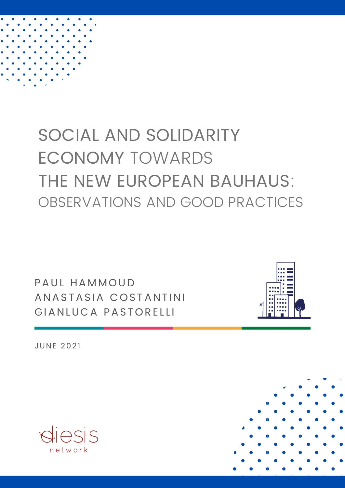

# SOCIAL AND SOLIDARITY ECONOMY TOWARDS THE NEW EUROPEAN BAUHAUS: OBSERVATIONS AND GOOD PRACTICES

PAUL HAMMOUD ANASTASIA COSTANTINI GIANLUCA PASTORELLI



**JUNE 2021** 



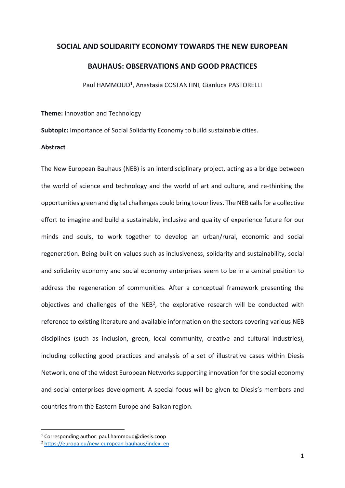# **SOCIAL AND SOLIDARITY ECONOMY TOWARDS THE NEW EUROPEAN**

# **BAUHAUS: OBSERVATIONS AND GOOD PRACTICES**

Paul HAMMOUD<sup>1</sup>, Anastasia COSTANTINI, Gianluca PASTORELLI

**Theme:** Innovation and Technology

**Subtopic:** Importance of Social Solidarity Economy to build sustainable cities.

#### **Abstract**

The New European Bauhaus (NEB) is an interdisciplinary project, acting as a bridge between the world of science and technology and the world of art and culture, and re-thinking the opportunities green and digital challenges could bring to our lives. The NEB calls for a collective effort to imagine and build a sustainable, inclusive and quality of experience future for our minds and souls, to work together to develop an urban/rural, economic and social regeneration. Being built on values such as inclusiveness, solidarity and sustainability, social and solidarity economy and social economy enterprises seem to be in a central position to address the regeneration of communities. After a conceptual framework presenting the objectives and challenges of the  $NEB<sup>2</sup>$ , the explorative research will be conducted with reference to existing literature and available information on the sectors covering various NEB disciplines (such as inclusion, green, local community, creative and cultural industries), including collecting good practices and analysis of a set of illustrative cases within Diesis Network, one of the widest European Networks supporting innovation for the social economy and social enterprises development. A special focus will be given to Diesis's members and countries from the Eastern Europe and Balkan region.

<sup>1</sup> Corresponding author: paul.hammoud@diesis.coop

<sup>2</sup> [https://europa.eu/new-european-bauhaus/index\\_en](https://europa.eu/new-european-bauhaus/index_en)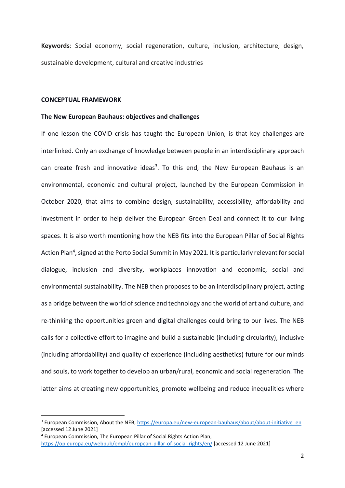**Keywords**: Social economy, social regeneration, culture, inclusion, architecture, design, sustainable development, cultural and creative industries

#### **CONCEPTUAL FRAMEWORK**

#### **The New European Bauhaus: objectives and challenges**

If one lesson the COVID crisis has taught the European Union, is that key challenges are interlinked. Only an exchange of knowledge between people in an interdisciplinary approach can create fresh and innovative ideas<sup>3</sup>. To this end, the New European Bauhaus is an environmental, economic and cultural project, launched by the European Commission in October 2020, that aims to combine design, sustainability, accessibility, affordability and investment in order to help deliver the European Green Deal and connect it to our living spaces. It is also worth mentioning how the NEB fits into the European Pillar of Social Rights Action Plan<sup>4</sup>, signed at the Porto Social Summit in May 2021. It is particularly relevant for social dialogue, inclusion and diversity, workplaces innovation and economic, social and environmental sustainability. The NEB then proposes to be an interdisciplinary project, acting as a bridge between the world of science and technology and the world of art and culture, and re-thinking the opportunities green and digital challenges could bring to our lives. The NEB calls for a collective effort to imagine and build a sustainable (including circularity), inclusive (including affordability) and quality of experience (including aesthetics) future for our minds and souls, to work together to develop an urban/rural, economic and social regeneration. The latter aims at creating new opportunities, promote wellbeing and reduce inequalities where

<sup>&</sup>lt;sup>3</sup> European Commission, About the NEB[, https://europa.eu/new-european-bauhaus/about/about-initiative\\_en](https://europa.eu/new-european-bauhaus/about/about-initiative_en) [accessed 12 June 2021]

<sup>4</sup> European Commission, The European Pillar of Social Rights Action Plan, <https://op.europa.eu/webpub/empl/european-pillar-of-social-rights/en/> [accessed 12 June 2021]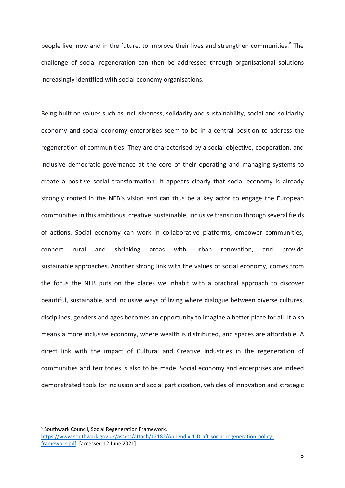people live, now and in the future, to improve their lives and strengthen communities.<sup>5</sup> The challenge of social regeneration can then be addressed through organisational solutions increasingly identified with social economy organisations.

Being built on values such as inclusiveness, solidarity and sustainability, social and solidarity economy and social economy enterprises seem to be in a central position to address the regeneration of communities. They are characterised by a social objective, cooperation, and inclusive democratic governance at the core of their operating and managing systems to create a positive social transformation. It appears clearly that social economy is already strongly rooted in the NEB's vision and can thus be a key actor to engage the European communities in this ambitious, creative, sustainable, inclusive transition through several fields of actions. Social economy can work in collaborative platforms, empower communities, connect rural and shrinking areas with urban renovation, and provide sustainable approaches. Another strong link with the values of social economy, comes from the focus the NEB puts on the places we inhabit with a practical approach to discover beautiful, sustainable, and inclusive ways of living where dialogue between diverse cultures, disciplines, genders and ages becomes an opportunity to imagine a better place for all. It also means a more inclusive economy, where wealth is distributed, and spaces are affordable. A direct link with the impact of Cultural and Creative Industries in the regeneration of communities and territories is also to be made. Social economy and enterprises are indeed demonstrated tools for inclusion and social participation, vehicles of innovation and strategic

<sup>5</sup> Southwark Council, Social Regeneration Framework,

[https://www.southwark.gov.uk/assets/attach/12182/Appendix-1-Draft-social-regeneration-policy](https://www.southwark.gov.uk/assets/attach/12182/Appendix-1-Draft-social-regeneration-policy-framework.pdf)[framework.pdf,](https://www.southwark.gov.uk/assets/attach/12182/Appendix-1-Draft-social-regeneration-policy-framework.pdf) [accessed 12 June 2021]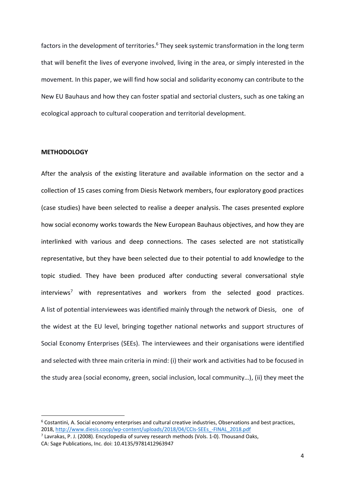factors in the development of territories.<sup>6</sup> They seek systemic transformation in the long term that will benefit the lives of everyone involved, living in the area, or simply interested in the movement. In this paper, we will find how social and solidarity economy can contribute to the New EU Bauhaus and how they can foster spatial and sectorial clusters, such as one taking an ecological approach to cultural cooperation and territorial development.

#### **METHODOLOGY**

After the analysis of the existing literature and available information on the sector and a collection of 15 cases coming from Diesis Network members, four exploratory good practices (case studies) have been selected to realise a deeper analysis. The cases presented explore how social economy works towards the New European Bauhaus objectives, and how they are interlinked with various and deep connections. The cases selected are not statistically representative, but they have been selected due to their potential to add knowledge to the topic studied. They have been produced after conducting several conversational style  $interviews<sup>7</sup>$  with representatives and workers from the selected good practices. A list of potential interviewees was identified mainly through the network of Diesis, one of the widest at the EU level, bringing together national networks and support structures of Social Economy Enterprises (SEEs). The interviewees and their organisations were identified and selected with three main criteria in mind: (i) their work and activities had to be focused in the study area (social economy, green, social inclusion, local community…), (ii) they meet the

<sup>6</sup> Costantini, A. Social economy enterprises and cultural creative industries, Observations and best practices, 2018, [http://www.diesis.coop/wp-content/uploads/2018/04/CCIs-SEEs\\_-FINAL\\_2018.pdf](http://www.diesis.coop/wp-content/uploads/2018/04/CCIs-SEEs_-FINAL_2018.pdf)

<sup>7</sup> Lavrakas, P. J. (2008). Encyclopedia of survey research methods (Vols. 1-0). Thousand Oaks, CA: Sage Publications, Inc. doi: 10.4135/9781412963947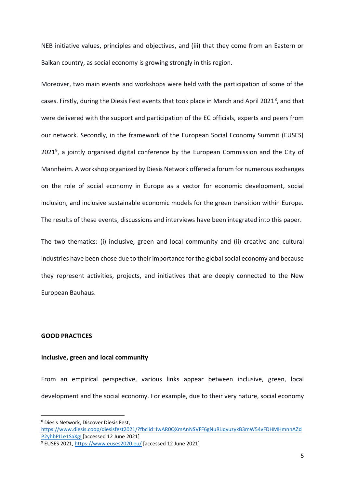NEB initiative values, principles and objectives, and (iii) that they come from an Eastern or Balkan country, as social economy is growing strongly in this region.

Moreover, two main events and workshops were held with the participation of some of the cases. Firstly, during the Diesis Fest events that took place in March and April 2021<sup>8</sup>, and that were delivered with the support and participation of the EC officials, experts and peers from our network. Secondly, in the framework of the European Social Economy Summit (EUSES) 2021<sup>9</sup>, a jointly organised digital conference by the European Commission and the City of Mannheim. A workshop organized by Diesis Network offered a forum for numerous exchanges on the role of social economy in Europe as a vector for economic development, social inclusion, and inclusive sustainable economic models for the green transition within Europe. The results of these events, discussions and interviews have been integrated into this paper.

The two thematics: (i) inclusive, green and local community and (ii) creative and cultural industries have been chose due to their importance for the global social economy and because they represent activities, projects, and initiatives that are deeply connected to the New European Bauhaus.

#### **GOOD PRACTICES**

#### **Inclusive, green and local community**

From an empirical perspective, various links appear between inclusive, green, local development and the social economy. For example, due to their very nature, social economy

<sup>8</sup> Diesis Network, Discover Diesis Fest, [https://www.diesis.coop/diesisfest2021/?fbclid=IwAR0QXmAnNSVFF6gNuRiJqvuzykB3mW54vFDHMHmnnAZd](https://www.diesis.coop/diesisfest2021/?fbclid=IwAR0QXmAnNSVFF6gNuRiJqvuzykB3mW54vFDHMHmnnAZdP2yhbPI1e1SaXgI) [P2yhbPI1e1SaXgI](https://www.diesis.coop/diesisfest2021/?fbclid=IwAR0QXmAnNSVFF6gNuRiJqvuzykB3mW54vFDHMHmnnAZdP2yhbPI1e1SaXgI) [accessed 12 June 2021]

<sup>9</sup> EUSES 2021,<https://www.euses2020.eu/> [accessed 12 June 2021]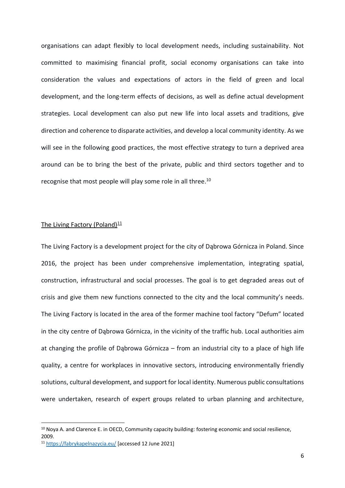organisations can adapt flexibly to local development needs, including sustainability. Not committed to maximising financial profit, social economy organisations can take into consideration the values and expectations of actors in the field of green and local development, and the long-term effects of decisions, as well as define actual development strategies. Local development can also put new life into local assets and traditions, give direction and coherence to disparate activities, and develop a local community identity. As we will see in the following good practices, the most effective strategy to turn a deprived area around can be to bring the best of the private, public and third sectors together and to recognise that most people will play some role in all three.<sup>10</sup>

#### The Living Factory (Poland) $11$

The Living Factory is a development project for the city of Dąbrowa Górnicza in Poland. Since 2016, the project has been under comprehensive implementation, integrating spatial, construction, infrastructural and social processes. The goal is to get degraded areas out of crisis and give them new functions connected to the city and the local community's needs. The Living Factory is located in the area of the former machine tool factory "Defum" located in the city centre of Dąbrowa Górnicza, in the vicinity of the traffic hub. Local authorities aim at changing the profile of Dąbrowa Górnicza – from an industrial city to a place of high life quality, a centre for workplaces in innovative sectors, introducing environmentally friendly solutions, cultural development, and support for local identity. Numerous public consultations were undertaken, research of expert groups related to urban planning and architecture,

<sup>&</sup>lt;sup>10</sup> Nova A. and Clarence E. in OECD, Community capacity building: fostering economic and social resilience, 2009.

<sup>11</sup> <https://fabrykapelnazycia.eu/> [accessed 12 June 2021]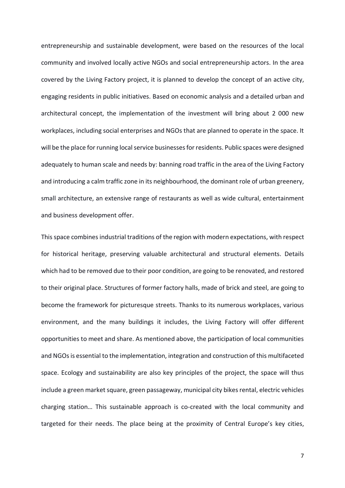entrepreneurship and sustainable development, were based on the resources of the local community and involved locally active NGOs and social entrepreneurship actors. In the area covered by the Living Factory project, it is planned to develop the concept of an active city, engaging residents in public initiatives. Based on economic analysis and a detailed urban and architectural concept, the implementation of the investment will bring about 2 000 new workplaces, including social enterprises and NGOs that are planned to operate in the space. It will be the place for running local service businesses for residents. Public spaces were designed adequately to human scale and needs by: banning road traffic in the area of the Living Factory and introducing a calm traffic zone in its neighbourhood, the dominant role of urban greenery, small architecture, an extensive range of restaurants as well as wide cultural, entertainment and business development offer.

This space combines industrial traditions of the region with modern expectations, with respect for historical heritage, preserving valuable architectural and structural elements. Details which had to be removed due to their poor condition, are going to be renovated, and restored to their original place. Structures of former factory halls, made of brick and steel, are going to become the framework for picturesque streets. Thanks to its numerous workplaces, various environment, and the many buildings it includes, the Living Factory will offer different opportunities to meet and share. As mentioned above, the participation of local communities and NGOs is essential to the implementation, integration and construction of this multifaceted space. Ecology and sustainability are also key principles of the project, the space will thus include a green market square, green passageway, municipal city bikes rental, electric vehicles charging station… This sustainable approach is co-created with the local community and targeted for their needs. The place being at the proximity of Central Europe's key cities,

7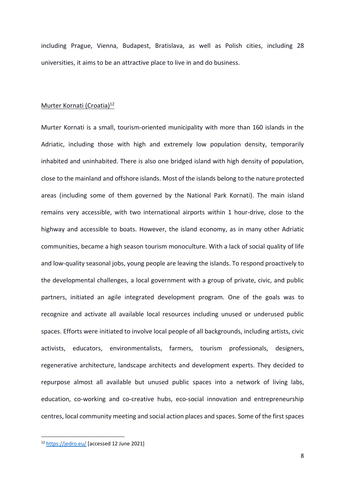including Prague, Vienna, Budapest, Bratislava, as well as Polish cities, including 28 universities, it aims to be an attractive place to live in and do business.

#### Murter Kornati (Croatia)<sup>12</sup>

Murter Kornati is a small, tourism-oriented municipality with more than 160 islands in the Adriatic, including those with high and extremely low population density, temporarily inhabited and uninhabited. There is also one bridged island with high density of population, close to the mainland and offshore islands. Most of the islands belong to the nature protected areas (including some of them governed by the National Park Kornati). The main island remains very accessible, with two international airports within 1 hour-drive, close to the highway and accessible to boats. However, the island economy, as in many other Adriatic communities, became a high season tourism monoculture. With a lack of social quality of life and low-quality seasonal jobs, young people are leaving the islands. To respond proactively to the developmental challenges, a local government with a group of private, civic, and public partners, initiated an agile integrated development program. One of the goals was to recognize and activate all available local resources including unused or underused public spaces. Efforts were initiated to involve local people of all backgrounds, including artists, civic activists, educators, environmentalists, farmers, tourism professionals, designers, regenerative architecture, landscape architects and development experts. They decided to repurpose almost all available but unused public spaces into a network of living labs, education, co-working and co-creative hubs, eco-social innovation and entrepreneurship centres, local community meeting and social action places and spaces. Some of the first spaces

<sup>12</sup> <https://jedro.eu/> [accessed 12 June 2021]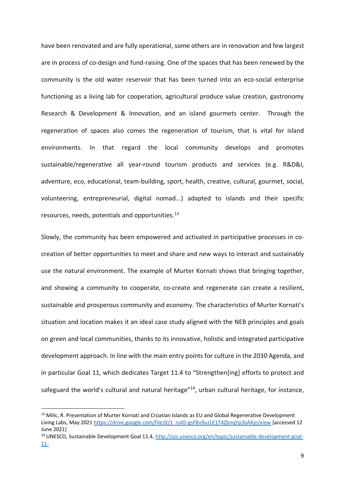have been renovated and are fully operational, some others are in renovation and few largest are in process of co-design and fund-raising. One of the spaces that has been renewed by the community is the old water reservoir that has been turned into an eco-social enterprise functioning as a living lab for cooperation, agricultural produce value creation, gastronomy Research & Development & Innovation, and an island gourmets center. Through the regeneration of spaces also comes the regeneration of tourism, that is vital for island environments. In that regard the local community develops and promotes sustainable/regenerative all year-round tourism products and services (e.g. R&D&I, adventure, eco, educational, team-building, sport, health, creative, cultural, gourmet, social, volunteering, entrepreneurial, digital nomad...) adapted to islands and their specific resources, needs, potentials and opportunities.<sup>13</sup>

Slowly, the community has been empowered and activated in participative processes in cocreation of better opportunities to meet and share and new ways to interact and sustainably use the natural environment. The example of Murter Kornati shows that bringing together, and showing a community to cooperate, co-create and regenerate can create a resilient, sustainable and prosperous community and economy. The characteristics of Murter Kornati's situation and location makes it an ideal case study aligned with the NEB principles and goals on green and local communities, thanks to its innovative, holistic and integrated participative development approach. In line with the main entry points for culture in the 2030 Agenda, and in particular Goal 11, which dedicates Target 11.4 to "Strengthen[ing] efforts to protect and safeguard the world's cultural and natural heritage"<sup>14</sup>, urban cultural heritage, for instance,

<sup>&</sup>lt;sup>13</sup> Milic, R. Presentation of Murter Kornati and Croatian Islands as EU and Global Regenerative Development Living Labs, May 2021 [https://drive.google.com/file/d/1\\_ruIO-gsFBv9uzLE1T4ZbnqYp3ijAXjn/view](https://drive.google.com/file/d/1_ruIO-gsFBv9uzLE1T4ZbnqYp3ijAXjn/view) [accessed 12] June 2021]

<sup>&</sup>lt;sup>14</sup> UNESCO, Sustainable Development Goal 11.4[, http://uis.unesco.org/en/topic/sustainable-development-goal-](http://uis.unesco.org/en/topic/sustainable-development-goal-11-%204#:~:text=With%20Sustainable%20Development%20Goal%2011,world)[11-](http://uis.unesco.org/en/topic/sustainable-development-goal-11-%204#:~:text=With%20Sustainable%20Development%20Goal%2011,world)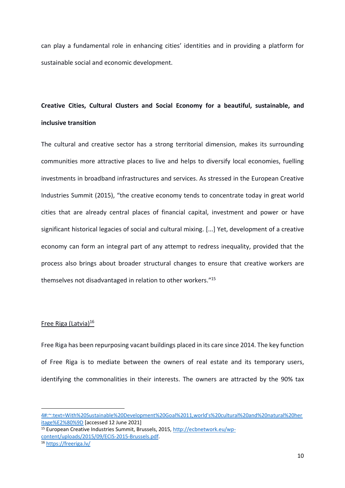can play a fundamental role in enhancing cities' identities and in providing a platform for sustainable social and economic development.

# **Creative Cities, Cultural Clusters and Social Economy for a beautiful, sustainable, and inclusive transition**

The cultural and creative sector has a strong territorial dimension, makes its surrounding communities more attractive places to live and helps to diversify local economies, fuelling investments in broadband infrastructures and services. As stressed in the European Creative Industries Summit (2015), "the creative economy tends to concentrate today in great world cities that are already central places of financial capital, investment and power or have significant historical legacies of social and cultural mixing. [...] Yet, development of a creative economy can form an integral part of any attempt to redress inequality, provided that the process also brings about broader structural changes to ensure that creative workers are themselves not disadvantaged in relation to other workers."<sup>15</sup>

# Free Riga (Latvia)<sup>16</sup>

Free Riga has been repurposing vacant buildings placed in its care since 2014. The key function of Free Riga is to mediate between the owners of real estate and its temporary users, identifying the commonalities in their interests. The owners are attracted by the 90% tax

<sup>15</sup> European Creative Industries Summit, Brussels, 2015, [http://ecbnetwork.eu/wp](http://ecbnetwork.eu/wp-content/uploads/2015/09/ECIS-2015-Brussels.pdf)[content/uploads/2015/09/ECIS-2015-Brussels.pdf.](http://ecbnetwork.eu/wp-content/uploads/2015/09/ECIS-2015-Brussels.pdf)

<sup>16</sup> <https://freeriga.lv/>

[<sup>4#:~:</sup>text=With%20Sustainable%20Development%20Goal%2011,world's%20cultural%20and%20natural%20her](http://uis.unesco.org/en/topic/sustainable-development-goal-11-%204#:~:text=With%20Sustainable%20Development%20Goal%2011,world) [itage%E2%80%9D](http://uis.unesco.org/en/topic/sustainable-development-goal-11-%204#:~:text=With%20Sustainable%20Development%20Goal%2011,world) [accessed 12 June 2021]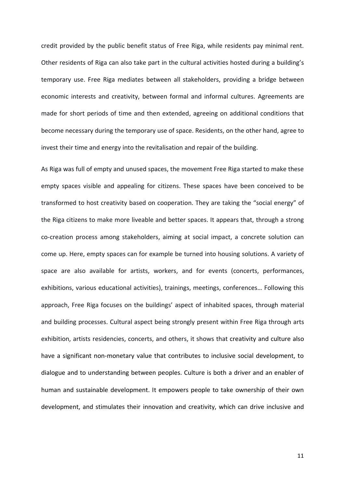credit provided by the public benefit status of Free Riga, while residents pay minimal rent. Other residents of Riga can also take part in the cultural activities hosted during a building's temporary use. Free Riga mediates between all stakeholders, providing a bridge between economic interests and creativity, between formal and informal cultures. Agreements are made for short periods of time and then extended, agreeing on additional conditions that become necessary during the temporary use of space. Residents, on the other hand, agree to invest their time and energy into the revitalisation and repair of the building.

As Riga was full of empty and unused spaces, the movement Free Riga started to make these empty spaces visible and appealing for citizens. These spaces have been conceived to be transformed to host creativity based on cooperation. They are taking the "social energy" of the Riga citizens to make more liveable and better spaces. It appears that, through a strong co-creation process among stakeholders, aiming at social impact, a concrete solution can come up. Here, empty spaces can for example be turned into housing solutions. A variety of space are also available for artists, workers, and for events (concerts, performances, exhibitions, various educational activities), trainings, meetings, conferences… Following this approach, Free Riga focuses on the buildings' aspect of inhabited spaces, through material and building processes. Cultural aspect being strongly present within Free Riga through arts exhibition, artists residencies, concerts, and others, it shows that creativity and culture also have a significant non-monetary value that contributes to inclusive social development, to dialogue and to understanding between peoples. Culture is both a driver and an enabler of human and sustainable development. It empowers people to take ownership of their own development, and stimulates their innovation and creativity, which can drive inclusive and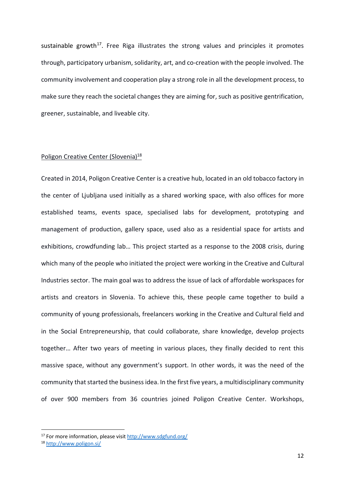sustainable growth<sup>17</sup>. Free Riga illustrates the strong values and principles it promotes through, participatory urbanism, solidarity, art, and co-creation with the people involved. The community involvement and cooperation play a strong role in all the development process, to make sure they reach the societal changes they are aiming for, such as positive gentrification, greener, sustainable, and liveable city.

#### Poligon Creative Center (Slovenia)<sup>18</sup>

Created in 2014, Poligon Creative Center is a creative hub, located in an old tobacco factory in the center of Ljubljana used initially as a shared working space, with also offices for more established teams, events space, specialised labs for development, prototyping and management of production, gallery space, used also as a residential space for artists and exhibitions, crowdfunding lab… This project started as a response to the 2008 crisis, during which many of the people who initiated the project were working in the Creative and Cultural Industries sector. The main goal was to address the issue of lack of affordable workspaces for artists and creators in Slovenia. To achieve this, these people came together to build a community of young professionals, freelancers working in the Creative and Cultural field and in the Social Entrepreneurship, that could collaborate, share knowledge, develop projects together… After two years of meeting in various places, they finally decided to rent this massive space, without any government's support. In other words, it was the need of the community that started the business idea. In the first five years, a multidisciplinary community of over 900 members from 36 countries joined Poligon Creative Center. Workshops,

<sup>&</sup>lt;sup>17</sup> For more information, please visi[t http://www.sdgfund.org/](http://www.sdgfund.org/)

<sup>18</sup> <http://www.poligon.si/>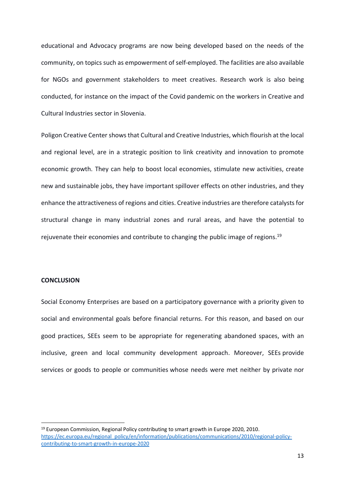educational and Advocacy programs are now being developed based on the needs of the community, on topics such as empowerment of self-employed. The facilities are also available for NGOs and government stakeholders to meet creatives. Research work is also being conducted, for instance on the impact of the Covid pandemic on the workers in Creative and Cultural Industries sector in Slovenia.

Poligon Creative Center shows that Cultural and Creative Industries, which flourish at the local and regional level, are in a strategic position to link creativity and innovation to promote economic growth. They can help to boost local economies, stimulate new activities, create new and sustainable jobs, they have important spillover effects on other industries, and they enhance the attractiveness of regions and cities. Creative industries are therefore catalysts for structural change in many industrial zones and rural areas, and have the potential to rejuvenate their economies and contribute to changing the public image of regions.<sup>19</sup>

### **CONCLUSION**

Social Economy Enterprises are based on a participatory governance with a priority given to social and environmental goals before financial returns. For this reason, and based on our good practices, SEEs seem to be appropriate for regenerating abandoned spaces, with an inclusive, green and local community development approach. Moreover, SEEs provide services or goods to people or communities whose needs were met neither by private nor

<sup>19</sup> European Commission, Regional Policy contributing to smart growth in Europe 2020, 2010. [https://ec.europa.eu/regional\\_policy/en/information/publications/communications/2010/regional-policy](https://ec.europa.eu/regional_policy/en/information/publications/communications/2010/regional-policy-contributing-to-smart-growth-in-europe-2020)[contributing-to-smart-growth-in-europe-2020](https://ec.europa.eu/regional_policy/en/information/publications/communications/2010/regional-policy-contributing-to-smart-growth-in-europe-2020)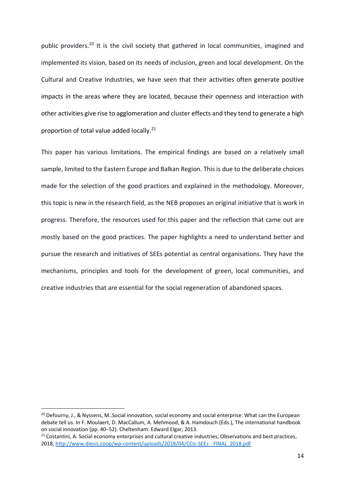public providers.<sup>20</sup> It is the civil society that gathered in local communities, imagined and implemented its vision, based on its needs of inclusion, green and local development. On the Cultural and Creative Industries, we have seen that their activities often generate positive impacts in the areas where they are located, because their openness and interaction with other activities give rise to agglomeration and cluster effects and they tend to generate a high proportion of total value added locally.<sup>21</sup>

This paper has various limitations. The empirical findings are based on a relatively small sample, limited to the Eastern Europe and Balkan Region. This is due to the deliberate choices made for the selection of the good practices and explained in the methodology. Moreover, this topic is new in the research field, as the NEB proposes an original initiative that is work in progress. Therefore, the resources used for this paper and the reflection that came out are mostly based on the good practices. The paper highlights a need to understand better and pursue the research and initiatives of SEEs potential as central organisations. They have the mechanisms, principles and tools for the development of green, local communities, and creative industries that are essential for the social regeneration of abandoned spaces.

<sup>&</sup>lt;sup>20</sup> Defourny, J., & Nyssens, M..Social innovation, social economy and social enterprise: What can the European debate tell us. In F. Moulaert, D. MacCallum, A. Mehmood, & A. Hamdouch (Eds.), The international handbook on social innovation (pp. 40–52). Cheltenham: Edward Elgar, 2013.

<sup>&</sup>lt;sup>21</sup> Costantini, A. Social economy enterprises and cultural creative industries, Observations and best practices, 2018, [http://www.diesis.coop/wp-content/uploads/2018/04/CCIs-SEEs\\_-FINAL\\_2018.pdf](http://www.diesis.coop/wp-content/uploads/2018/04/CCIs-SEEs_-FINAL_2018.pdf)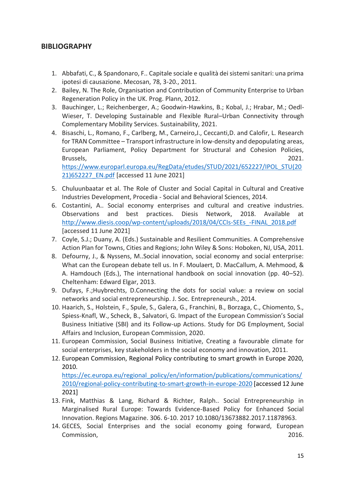# **BIBLIOGRAPHY**

- 1. Abbafati, C., & Spandonaro, F.. Capitale sociale e qualità dei sistemi sanitari: una prima ipotesi di causazione. Mecosan, 78, 3-20., 2011.
- 2. Bailey, N. The Role, Organisation and Contribution of Community Enterprise to Urban Regeneration Policy in the UK. Prog. Plann, 2012.
- 3. Bauchinger, L.; Reichenberger, A.; Goodwin-Hawkins, B.; Kobal, J.; Hrabar, M.; Oedl-Wieser, T. Developing Sustainable and Flexible Rural–Urban Connectivity through Complementary Mobility Services. Sustainability, 2021.
- 4. Bisaschi, L., Romano, F., Carlberg, M., Carneiro,J., Ceccanti,D. and Calofir, L. Research for TRAN Committee – Transport infrastructure in low-density and depopulating areas, European Parliament, Policy Department for Structural and Cohesion Policies, Brussels, 2021. [https://www.europarl.europa.eu/RegData/etudes/STUD/2021/652227/IPOL\\_STU\(20](https://www.europarl.europa.eu/RegData/etudes/STUD/2021/652227/IPOL_STU(2021)652227_EN.pdf)

[21\)652227\\_EN.pdf](https://www.europarl.europa.eu/RegData/etudes/STUD/2021/652227/IPOL_STU(2021)652227_EN.pdf) [accessed 11 June 2021]

- 5. Chuluunbaatar et al. The Role of Cluster and Social Capital in Cultural and Creative Industries Development, Procedia - Social and Behavioral Sciences, 2014.
- 6. Costantini, A.. Social economy enterprises and cultural and creative industries. Observations and best practices. Diesis Network, 2018. Available at [http://www.diesis.coop/wp-content/uploads/2018/04/CCIs-SEEs\\_-FINAL\\_2018.pdf](http://www.diesis.coop/wp-content/uploads/2018/04/CCIs-SEEs_-FINAL_2018.pdf) [accessed 11 June 2021]
- 7. Coyle, S.J.; Duany, A. (Eds.) Sustainable and Resilient Communities. A Comprehensive Action Plan for Towns, Cities and Regions; John Wiley & Sons: Hoboken, NJ, USA, 2011.
- 8. Defourny, J., & Nyssens, M..Social innovation, social economy and social enterprise: What can the European debate tell us. In F. Moulaert, D. MacCallum, A. Mehmood, & A. Hamdouch (Eds.), The international handbook on social innovation (pp. 40–52). Cheltenham: Edward Elgar, 2013.
- 9. Dufays, F.;Huybrechts, D.Connecting the dots for social value: a review on social networks and social entrepreneurship. J. Soc. Entrepreneursh., 2014.
- 10. Haarich, S., Holstein, F., Spule, S., Galera, G., Franchini, B., Borzaga, C., Chiomento, S., Spiess-Knafl, W., Scheck, B., Salvatori, G. Impact of the European Commission's Social Business Initiative (SBI) and its Follow-up Actions. Study for DG Employment, Social Affairs and Inclusion, European Commission, 2020.
- 11. European Commission, Social Business Initiative, Creating a favourable climate for social enterprises, key stakeholders in the social economy and innovation, 2011.
- 12. European Commission, Regional Policy contributing to smart growth in Europe 2020, 2010.

[https://ec.europa.eu/regional\\_policy/en/information/publications/communications/](https://ec.europa.eu/regional_policy/en/information/publications/communications/2010/regional-policy-contributing-to-smart-growth-in-europe-2020) [2010/regional-policy-contributing-to-smart-growth-in-europe-2020](https://ec.europa.eu/regional_policy/en/information/publications/communications/2010/regional-policy-contributing-to-smart-growth-in-europe-2020) [accessed 12 June 2021]

- 13. Fink, Matthias & Lang, Richard & Richter, Ralph.. Social Entrepreneurship in Marginalised Rural Europe: Towards Evidence-Based Policy for Enhanced Social Innovation. Regions Magazine. 306. 6-10. 2017 10.1080/13673882.2017.11878963.
- 14. GECES, Social Enterprises and the social economy going forward, European Commission, 2016.